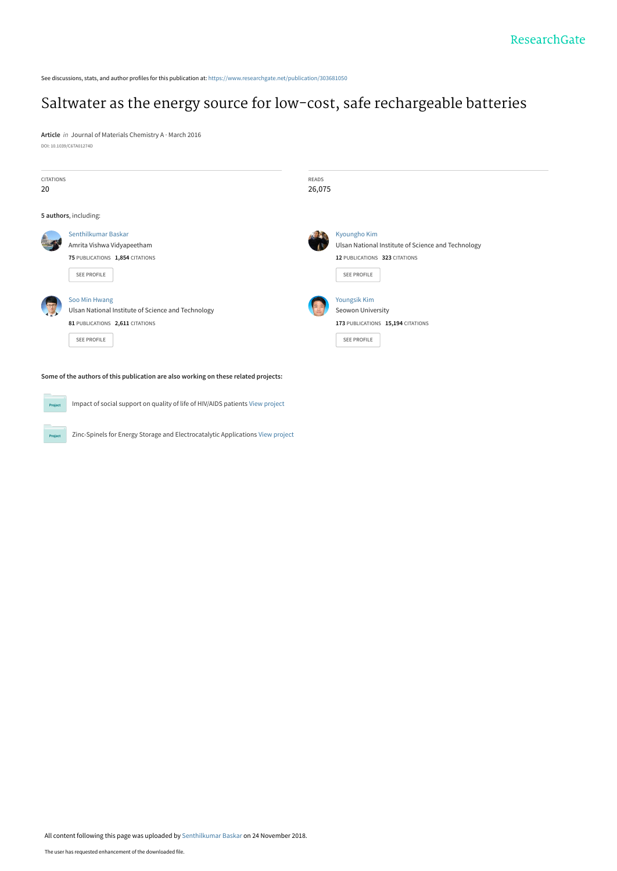See discussions, stats, and author profiles for this publication at: [https://www.researchgate.net/publication/303681050](https://www.researchgate.net/publication/303681050_Saltwater_as_the_energy_source_for_low-cost_safe_rechargeable_batteries?enrichId=rgreq-93e0c92e56fe1224dca9fe3ccd2af0ef-XXX&enrichSource=Y292ZXJQYWdlOzMwMzY4MTA1MDtBUzo2OTYzNzIxODEzNTY1NDRAMTU0MzAzOTQ3NDAzNQ%3D%3D&el=1_x_2&_esc=publicationCoverPdf)

# [Saltwater as the energy source for low-cost, safe rechargeable batteries](https://www.researchgate.net/publication/303681050_Saltwater_as_the_energy_source_for_low-cost_safe_rechargeable_batteries?enrichId=rgreq-93e0c92e56fe1224dca9fe3ccd2af0ef-XXX&enrichSource=Y292ZXJQYWdlOzMwMzY4MTA1MDtBUzo2OTYzNzIxODEzNTY1NDRAMTU0MzAzOTQ3NDAzNQ%3D%3D&el=1_x_3&_esc=publicationCoverPdf)

**Article** in Journal of Materials Chemistry A · March 2016 DOI: 10.1039/C6TA01274D

Project

| <b>CITATIONS</b><br>20                                                              |                                                                               | READS | 26,075                                             |  |
|-------------------------------------------------------------------------------------|-------------------------------------------------------------------------------|-------|----------------------------------------------------|--|
|                                                                                     |                                                                               |       |                                                    |  |
| 5 authors, including:                                                               |                                                                               |       |                                                    |  |
|                                                                                     | Senthilkumar Baskar                                                           |       | <b>Kyoungho Kim</b>                                |  |
|                                                                                     | Amrita Vishwa Vidyapeetham                                                    |       | Ulsan National Institute of Science and Technology |  |
|                                                                                     | 75 PUBLICATIONS 1,854 CITATIONS                                               |       | 12 PUBLICATIONS 323 CITATIONS                      |  |
|                                                                                     | <b>SEE PROFILE</b>                                                            |       | <b>SEE PROFILE</b>                                 |  |
|                                                                                     |                                                                               |       |                                                    |  |
|                                                                                     | Soo Min Hwang                                                                 |       | Youngsik Kim                                       |  |
|                                                                                     | Ulsan National Institute of Science and Technology                            |       | Seowon University                                  |  |
|                                                                                     | 81 PUBLICATIONS 2,611 CITATIONS                                               |       | 173 PUBLICATIONS 15,194 CITATIONS                  |  |
|                                                                                     | <b>SEE PROFILE</b>                                                            |       | <b>SEE PROFILE</b>                                 |  |
|                                                                                     |                                                                               |       |                                                    |  |
|                                                                                     |                                                                               |       |                                                    |  |
| Some of the authors of this publication are also working on these related projects: |                                                                               |       |                                                    |  |
|                                                                                     |                                                                               |       |                                                    |  |
| Project                                                                             | Impact of social support on quality of life of HIV/AIDS patients View project |       |                                                    |  |
|                                                                                     |                                                                               |       |                                                    |  |

Zinc-Spinels for Energy Storage and Electrocatalytic Applications [View project](https://www.researchgate.net/project/Zinc-Spinels-for-Energy-Storage-and-Electrocatalytic-Applications?enrichId=rgreq-93e0c92e56fe1224dca9fe3ccd2af0ef-XXX&enrichSource=Y292ZXJQYWdlOzMwMzY4MTA1MDtBUzo2OTYzNzIxODEzNTY1NDRAMTU0MzAzOTQ3NDAzNQ%3D%3D&el=1_x_9&_esc=publicationCoverPdf)

All content following this page was uploaded by [Senthilkumar Baskar](https://www.researchgate.net/profile/Senthilkumar-Baskar?enrichId=rgreq-93e0c92e56fe1224dca9fe3ccd2af0ef-XXX&enrichSource=Y292ZXJQYWdlOzMwMzY4MTA1MDtBUzo2OTYzNzIxODEzNTY1NDRAMTU0MzAzOTQ3NDAzNQ%3D%3D&el=1_x_10&_esc=publicationCoverPdf) on 24 November 2018.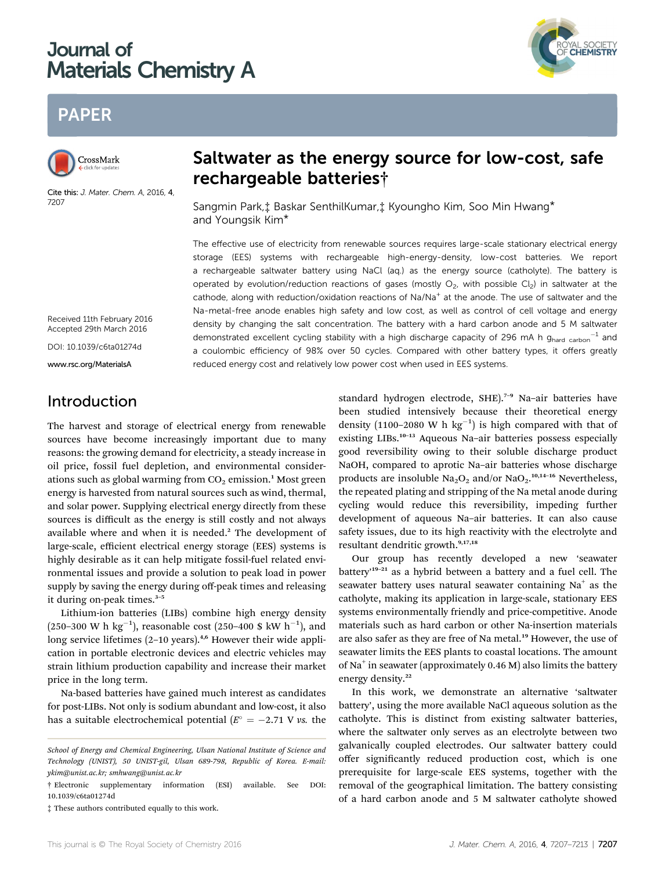## Journal of **Materials Chemistry A** Materials Chemistry A



## **PAPER** PAPER



Cite this: J. Mater. Chem. A, 2016, 4, 7207

# rechargeable batteries†

Sangmin Park,‡ Baskar SenthilKumar,‡ Kyoungho Kim, Soo Min Hwang\* and Youngsik Kim\*

The effective use of electricity from renewable sources requires large-scale stationary electrical energy storage (EES) systems with rechargeable high-energy-density, low-cost batteries. We report a rechargeable saltwater battery using NaCl (aq.) as the energy source (catholyte). The battery is operated by evolution/reduction reactions of gases (mostly  $O<sub>2</sub>$ , with possible Cl<sub>2</sub>) in saltwater at the cathode, along with reduction/oxidation reactions of  $Na/Na^+$  at the anode. The use of saltwater and the Na-metal-free anode enables high safety and low cost, as well as control of cell voltage and energy density by changing the salt concentration. The battery with a hard carbon anode and 5 M saltwater demonstrated excellent cycling stability with a high discharge capacity of 296 mA h  $g_{hard}$  carbon<sup>-1</sup> and a coulombic efficiency of 98% over 50 cycles. Compared with other battery types, it offers greatly reduced energy cost and relatively low power cost when used in EES systems.

Received 11th February 2016 Accepted 29th March 2016

DOI: 10.1039/c6ta01274d

www.rsc.org/MaterialsA

## Introduction

The harvest and storage of electrical energy from renewable sources have become increasingly important due to many reasons: the growing demand for electricity, a steady increase in oil price, fossil fuel depletion, and environmental considerations such as global warming from  $CO<sub>2</sub>$  emission.<sup>1</sup> Most green energy is harvested from natural sources such as wind, thermal, and solar power. Supplying electrical energy directly from these sources is difficult as the energy is still costly and not always available where and when it is needed.<sup>2</sup> The development of large-scale, efficient electrical energy storage (EES) systems is highly desirable as it can help mitigate fossil-fuel related environmental issues and provide a solution to peak load in power supply by saving the energy during off-peak times and releasing it during on-peak times.<sup>3-5</sup>

Lithium-ion batteries (LIBs) combine high energy density (250–300 W h  $\text{kg}^{-1}$ ), reasonable cost (250–400 \$ kW h<sup>-1</sup>), and long service lifetimes (2-10 years).<sup>4,6</sup> However their wide application in portable electronic devices and electric vehicles may strain lithium production capability and increase their market price in the long term.

Na-based batteries have gained much interest as candidates for post-LIBs. Not only is sodium abundant and low-cost, it also has a suitable electrochemical potential ( $E^{\circ} = -2.71$  V vs. the

‡ These authors contributed equally to this work.

standard hydrogen electrode, SHE).<sup>7-9</sup> Na-air batteries have been studied intensively because their theoretical energy density (1100-2080 W h  $kg^{-1}$ ) is high compared with that of existing LIBs.<sup>10–13</sup> Aqueous Na–air batteries possess especially good reversibility owing to their soluble discharge product NaOH, compared to aprotic Na–air batteries whose discharge products are insoluble  $Na<sub>2</sub>O<sub>2</sub>$  and/or  $NaO<sub>2</sub>$ .<sup>10,14-16</sup> Nevertheless, the repeated plating and stripping of the Na metal anode during cycling would reduce this reversibility, impeding further development of aqueous Na–air batteries. It can also cause safety issues, due to its high reactivity with the electrolyte and resultant dendritic growth.9,17,18

Our group has recently developed a new 'seawater battery<sup>19-21</sup> as a hybrid between a battery and a fuel cell. The seawater battery uses natural seawater containing  $Na<sup>+</sup>$  as the catholyte, making its application in large-scale, stationary EES systems environmentally friendly and price-competitive. Anode materials such as hard carbon or other Na-insertion materials are also safer as they are free of Na metal.<sup>19</sup> However, the use of seawater limits the EES plants to coastal locations. The amount of Na<sup>+</sup> in seawater (approximately  $0.46$  M) also limits the battery energy density.<sup>22</sup>

In this work, we demonstrate an alternative 'saltwater battery', using the more available NaCl aqueous solution as the catholyte. This is distinct from existing saltwater batteries, where the saltwater only serves as an electrolyte between two galvanically coupled electrodes. Our saltwater battery could offer significantly reduced production cost, which is one prerequisite for large-scale EES systems, together with the removal of the geographical limitation. The battery consisting of a hard carbon anode and 5 M saltwater catholyte showed

School of Energy and Chemical Engineering, Ulsan National Institute of Science and Technology (UNIST), 50 UNIST-gil, Ulsan 689-798, Republic of Korea. E-mail: ykim@unist.ac.kr; smhwang@unist.ac.kr

<sup>†</sup> Electronic supplementary information (ESI) available. See DOI: 10.1039/c6ta01274d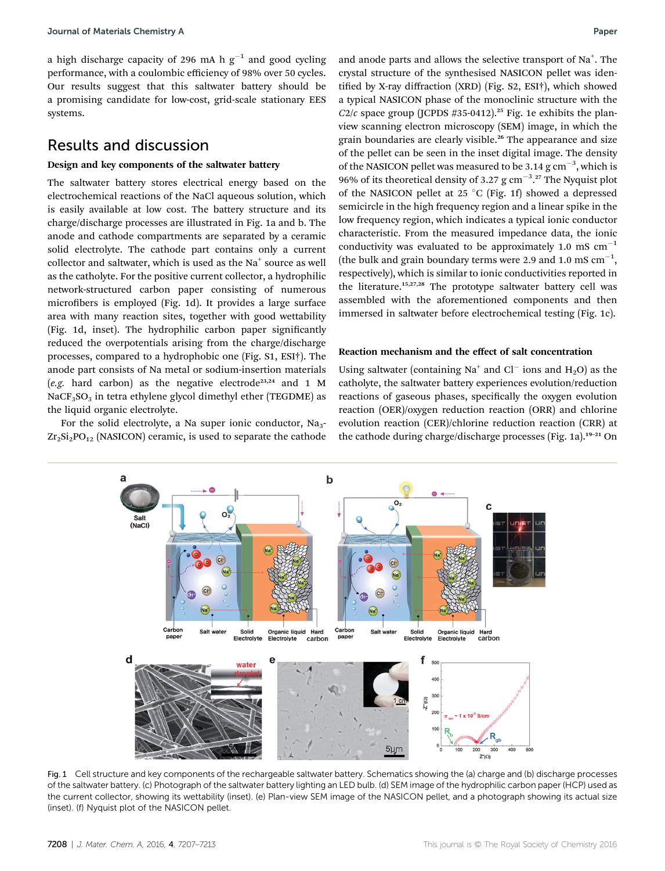a high discharge capacity of 296 mA h  $g^{-1}$  and good cycling performance, with a coulombic efficiency of 98% over 50 cycles. Our results suggest that this saltwater battery should be a promising candidate for low-cost, grid-scale stationary EES systems.

### Results and discussion

#### Design and key components of the saltwater battery

The saltwater battery stores electrical energy based on the electrochemical reactions of the NaCl aqueous solution, which is easily available at low cost. The battery structure and its charge/discharge processes are illustrated in Fig. 1a and b. The anode and cathode compartments are separated by a ceramic solid electrolyte. The cathode part contains only a current collector and saltwater, which is used as the  $Na<sup>+</sup>$  source as well as the catholyte. For the positive current collector, a hydrophilic network-structured carbon paper consisting of numerous microfibers is employed (Fig. 1d). It provides a large surface area with many reaction sites, together with good wettability (Fig. 1d, inset). The hydrophilic carbon paper signicantly reduced the overpotentials arising from the charge/discharge processes, compared to a hydrophobic one (Fig. S1, ESI†). The anode part consists of Na metal or sodium-insertion materials (e.g. hard carbon) as the negative electrode<sup>23,24</sup> and 1 M NaCF<sub>3</sub>SO<sub>3</sub> in tetra ethylene glycol dimethyl ether (TEGDME) as the liquid organic electrolyte.

For the solid electrolyte, a Na super ionic conductor,  $Na<sub>3</sub>$ - $Zr_2Si_2PO_{12}$  (NASICON) ceramic, is used to separate the cathode

and anode parts and allows the selective transport of  $Na<sup>+</sup>$ . The crystal structure of the synthesised NASICON pellet was identified by X-ray diffraction (XRD) (Fig. S2, ESI†), which showed a typical NASICON phase of the monoclinic structure with the  $C2/c$  space group (JCPDS #35-0412).<sup>25</sup> Fig. 1e exhibits the planview scanning electron microscopy (SEM) image, in which the grain boundaries are clearly visible.<sup>26</sup> The appearance and size of the pellet can be seen in the inset digital image. The density of the NASICON pellet was measured to be 3.14  $\rm g$  cm<sup>-3</sup>, which is 96% of its theoretical density of 3.27  $\rm g$  cm<sup>-3</sup>.<sup>27</sup> The Nyquist plot of the NASICON pellet at 25 °C (Fig. 1f) showed a depressed semicircle in the high frequency region and a linear spike in the low frequency region, which indicates a typical ionic conductor characteristic. From the measured impedance data, the ionic conductivity was evaluated to be approximately 1.0 mS  $cm^{-1}$ (the bulk and grain boundary terms were 2.9 and 1.0 mS  $cm^{-1}$ , respectively), which is similar to ionic conductivities reported in the literature.<sup>15,27,28</sup> The prototype saltwater battery cell was assembled with the aforementioned components and then immersed in saltwater before electrochemical testing (Fig. 1c).

#### Reaction mechanism and the effect of salt concentration

Using saltwater (containing Na<sup>+</sup> and Cl<sup>-</sup> ions and H<sub>2</sub>O) as the catholyte, the saltwater battery experiences evolution/reduction reactions of gaseous phases, specifically the oxygen evolution reaction (OER)/oxygen reduction reaction (ORR) and chlorine evolution reaction (CER)/chlorine reduction reaction (CRR) at the cathode during charge/discharge processes (Fig. 1a).<sup>19-21</sup> On



Fig. 1 Cell structure and key components of the rechargeable saltwater battery. Schematics showing the (a) charge and (b) discharge processes of the saltwater battery. (c) Photograph of the saltwater battery lighting an LED bulb. (d) SEM image of the hydrophilic carbon paper (HCP) used as the current collector, showing its wettability (inset). (e) Plan-view SEM image of the NASICON pellet, and a photograph showing its actual size (inset). (f) Nyquist plot of the NASICON pellet.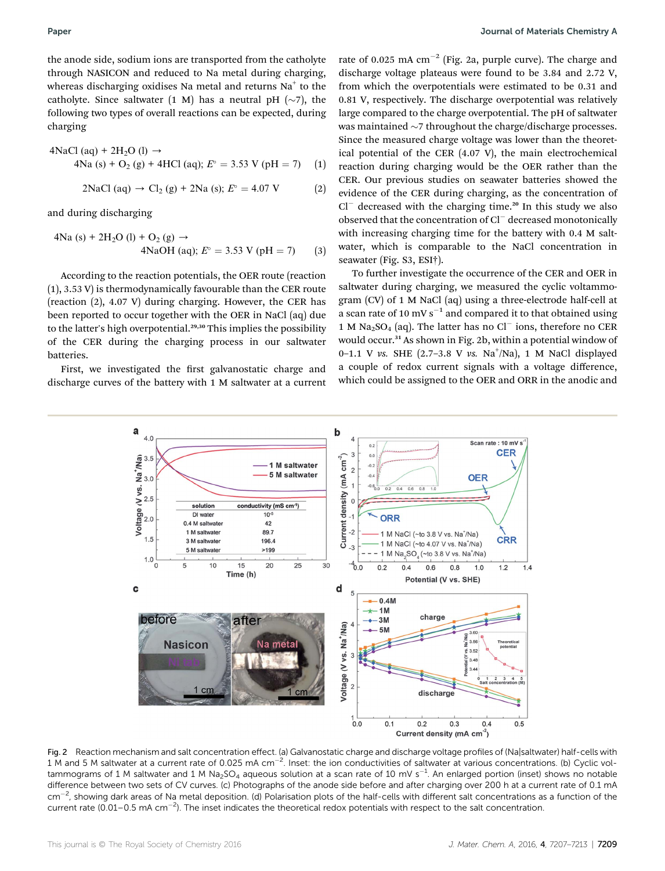the anode side, sodium ions are transported from the catholyte through NASICON and reduced to Na metal during charging, whereas discharging oxidises Na metal and returns Na<sup>+</sup> to the catholyte. Since saltwater (1 M) has a neutral pH  $(\sim)7$ , the following two types of overall reactions can be expected, during charging

4NaCl (aq) + 2H<sub>2</sub>O (l) 
$$
\rightarrow
$$
  
4Na (s) + O<sub>2</sub> (g) + 4HCl (aq);  $E^{\circ}$  = 3.53 V (pH = 7) (1)

$$
2NaCl (aq) \to Cl_2 (g) + 2Na (s); E^{\circ} = 4.07 V
$$
 (2)

and during discharging

$$
4Na (s) + 2H2O (l) + O2 (g) \rightarrow
$$
  
4NaOH (aq);  $Eo = 3.53$  V (pH = 7) (3)

According to the reaction potentials, the OER route (reaction (1), 3.53 V) is thermodynamically favourable than the CER route (reaction (2), 4.07 V) during charging. However, the CER has been reported to occur together with the OER in NaCl (aq) due to the latter's high overpotential.<sup>29,30</sup> This implies the possibility of the CER during the charging process in our saltwater batteries.

First, we investigated the first galvanostatic charge and discharge curves of the battery with 1 M saltwater at a current

rate of 0.025 mA  $cm^{-2}$  (Fig. 2a, purple curve). The charge and discharge voltage plateaus were found to be 3.84 and 2.72 V, from which the overpotentials were estimated to be 0.31 and 0.81 V, respectively. The discharge overpotential was relatively large compared to the charge overpotential. The pH of saltwater was maintained  $\sim$ 7 throughout the charge/discharge processes. Since the measured charge voltage was lower than the theoretical potential of the CER (4.07 V), the main electrochemical reaction during charging would be the OER rather than the CER. Our previous studies on seawater batteries showed the evidence of the CER during charging, as the concentration of  $Cl^-$  decreased with the charging time.<sup>20</sup> In this study we also observed that the concentration of  $Cl^-$  decreased monotonically with increasing charging time for the battery with 0.4 M saltwater, which is comparable to the NaCl concentration in seawater (Fig. S3, ESI†).

To further investigate the occurrence of the CER and OER in saltwater during charging, we measured the cyclic voltammogram (CV) of 1 M NaCl (aq) using a three-electrode half-cell at a scan rate of 10 mV  $s^{-1}$  and compared it to that obtained using 1 M Na<sub>2</sub>SO<sub>4</sub> (aq). The latter has no Cl<sup>-</sup> ions, therefore no CER would occur.<sup>31</sup> As shown in Fig. 2b, within a potential window of 0-1.1 V vs. SHE (2.7-3.8 V vs. Na<sup>+</sup>/Na), 1 M NaCl displayed a couple of redox current signals with a voltage difference, which could be assigned to the OER and ORR in the anodic and



Fig. 2 Reaction mechanism and salt concentration effect. (a) Galvanostatic charge and discharge voltage profiles of (Na|saltwater) half-cells with 1 M and 5 M saltwater at a current rate of 0.025 mA cm $^{-2}$ . Inset: the ion conductivities of saltwater at various concentrations. (b) Cyclic voltammograms of 1 M saltwater and 1 M Na<sub>2</sub>SO<sub>4</sub> aqueous solution at a scan rate of 10 mV s<sup>-1</sup>. An enlarged portion (inset) shows no notable difference between two sets of CV curves. (c) Photographs of the anode side before and after charging over 200 h at a current rate of 0.1 mA  $\rm cm^{-2}$ , showing dark areas of Na metal deposition. (d) Polarisation plots of the half-cells with different salt concentrations as a function of the current rate  $(0.01-0.5 \text{ mA cm}^{-2})$ . The inset indicates the theoretical redox potentials with respect to the salt concentration.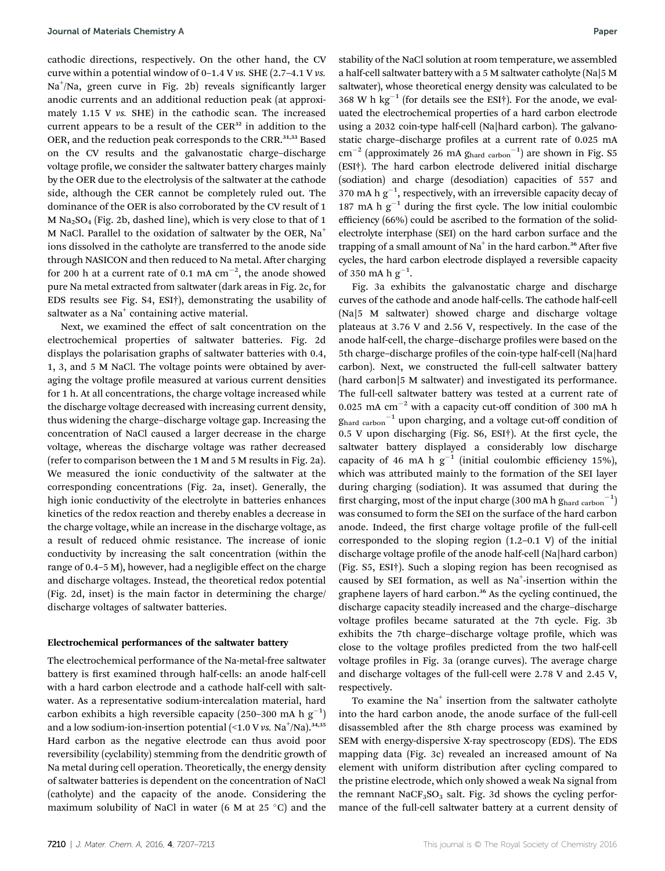cathodic directions, respectively. On the other hand, the CV curve within a potential window of  $0-1.4$  V vs. SHE  $(2.7-4.1$  V vs. Na<sup>+</sup>/Na, green curve in Fig. 2b) reveals significantly larger anodic currents and an additional reduction peak (at approximately 1.15 V vs. SHE) in the cathodic scan. The increased current appears to be a result of the CER<sup>32</sup> in addition to the OER, and the reduction peak corresponds to the CRR.<sup>31,33</sup> Based on the CV results and the galvanostatic charge–discharge voltage profile, we consider the saltwater battery charges mainly by the OER due to the electrolysis of the saltwater at the cathode side, although the CER cannot be completely ruled out. The dominance of the OER is also corroborated by the CV result of 1 M  $Na<sub>2</sub>SO<sub>4</sub>$  (Fig. 2b, dashed line), which is very close to that of 1 M NaCl. Parallel to the oxidation of saltwater by the OER, Na<sup>+</sup> ions dissolved in the catholyte are transferred to the anode side through NASICON and then reduced to Na metal. After charging for 200 h at a current rate of 0.1 mA  $\rm cm^{-2},$  the anode showed pure Na metal extracted from saltwater (dark areas in Fig. 2c, for EDS results see Fig. S4, ESI†), demonstrating the usability of saltwater as a  $Na<sup>+</sup>$  containing active material.

Next, we examined the effect of salt concentration on the electrochemical properties of saltwater batteries. Fig. 2d displays the polarisation graphs of saltwater batteries with 0.4, 1, 3, and 5 M NaCl. The voltage points were obtained by averaging the voltage profile measured at various current densities for 1 h. At all concentrations, the charge voltage increased while the discharge voltage decreased with increasing current density, thus widening the charge–discharge voltage gap. Increasing the concentration of NaCl caused a larger decrease in the charge voltage, whereas the discharge voltage was rather decreased (refer to comparison between the 1 M and 5 M results in Fig. 2a). We measured the ionic conductivity of the saltwater at the corresponding concentrations (Fig. 2a, inset). Generally, the high ionic conductivity of the electrolyte in batteries enhances kinetics of the redox reaction and thereby enables a decrease in the charge voltage, while an increase in the discharge voltage, as a result of reduced ohmic resistance. The increase of ionic conductivity by increasing the salt concentration (within the range of 0.4–5 M), however, had a negligible effect on the charge and discharge voltages. Instead, the theoretical redox potential (Fig. 2d, inset) is the main factor in determining the charge/ discharge voltages of saltwater batteries.

#### Electrochemical performances of the saltwater battery

The electrochemical performance of the Na-metal-free saltwater battery is first examined through half-cells: an anode half-cell with a hard carbon electrode and a cathode half-cell with saltwater. As a representative sodium-intercalation material, hard carbon exhibits a high reversible capacity (250-300 mA h  $g^{-1}$ ) and a low sodium-ion-insertion potential (<1.0 V  $\nu$ s. Na $^+$ /Na). $^{34,35}$ Hard carbon as the negative electrode can thus avoid poor reversibility (cyclability) stemming from the dendritic growth of Na metal during cell operation. Theoretically, the energy density of saltwater batteries is dependent on the concentration of NaCl (catholyte) and the capacity of the anode. Considering the maximum solubility of NaCl in water (6 M at 25  $^{\circ}$ C) and the

stability of the NaCl solution at room temperature, we assembled a half-cell saltwater battery with a 5 M saltwater catholyte (Na|5 M saltwater), whose theoretical energy density was calculated to be 368 W h kg<sup>-1</sup> (for details see the ESI†). For the anode, we evaluated the electrochemical properties of a hard carbon electrode using a 2032 coin-type half-cell (Na|hard carbon). The galvanostatic charge-discharge profiles at a current rate of 0.025 mA  $\text{cm}^{-2}$  (approximately 26 mA  $g_{\text{hard carbon}}^{-1}$ ) are shown in Fig. S5 (ESI†). The hard carbon electrode delivered initial discharge (sodiation) and charge (desodiation) capacities of 557 and 370 mA h  $g^{-1}$ , respectively, with an irreversible capacity decay of 187 mA h  $g^{-1}$  during the first cycle. The low initial coulombic efficiency (66%) could be ascribed to the formation of the solidelectrolyte interphase (SEI) on the hard carbon surface and the trapping of a small amount of  $Na<sup>+</sup>$  in the hard carbon.<sup>36</sup> After five cycles, the hard carbon electrode displayed a reversible capacity of 350 mA h  $g^{-1}$ .

Fig. 3a exhibits the galvanostatic charge and discharge curves of the cathode and anode half-cells. The cathode half-cell (Na|5 M saltwater) showed charge and discharge voltage plateaus at 3.76 V and 2.56 V, respectively. In the case of the anode half-cell, the charge-discharge profiles were based on the 5th charge-discharge profiles of the coin-type half-cell (Na|hard carbon). Next, we constructed the full-cell saltwater battery (hard carbon|5 M saltwater) and investigated its performance. The full-cell saltwater battery was tested at a current rate of 0.025 mA  $cm^{-2}$  with a capacity cut-off condition of 300 mA h  $g<sub>hard carbon</sub><sup>-1</sup>$  upon charging, and a voltage cut-off condition of  $0.5$  V upon discharging (Fig. S6, ESI†). At the first cycle, the saltwater battery displayed a considerably low discharge capacity of 46 mA h  $g^{-1}$  (initial coulombic efficiency 15%), which was attributed mainly to the formation of the SEI layer during charging (sodiation). It was assumed that during the first charging, most of the input charge (300 mA h  $g_{\rm hard\ carbon}^{-1})$ was consumed to form the SEI on the surface of the hard carbon anode. Indeed, the first charge voltage profile of the full-cell corresponded to the sloping region (1.2–0.1 V) of the initial discharge voltage profile of the anode half-cell (Na|hard carbon) (Fig. S5, ESI†). Such a sloping region has been recognised as caused by SEI formation, as well as Na<sup>+</sup>-insertion within the graphene layers of hard carbon.<sup>36</sup> As the cycling continued, the discharge capacity steadily increased and the charge–discharge voltage profiles became saturated at the 7th cycle. Fig. 3b exhibits the 7th charge-discharge voltage profile, which was close to the voltage profiles predicted from the two half-cell voltage profiles in Fig. 3a (orange curves). The average charge and discharge voltages of the full-cell were 2.78 V and 2.45 V, respectively.

To examine the  $Na<sup>+</sup>$  insertion from the saltwater catholyte into the hard carbon anode, the anode surface of the full-cell disassembled after the 8th charge process was examined by SEM with energy-dispersive X-ray spectroscopy (EDS). The EDS mapping data (Fig. 3c) revealed an increased amount of Na element with uniform distribution after cycling compared to the pristine electrode, which only showed a weak Na signal from the remnant  $NaCF<sub>3</sub>SO<sub>3</sub>$  salt. Fig. 3d shows the cycling performance of the full-cell saltwater battery at a current density of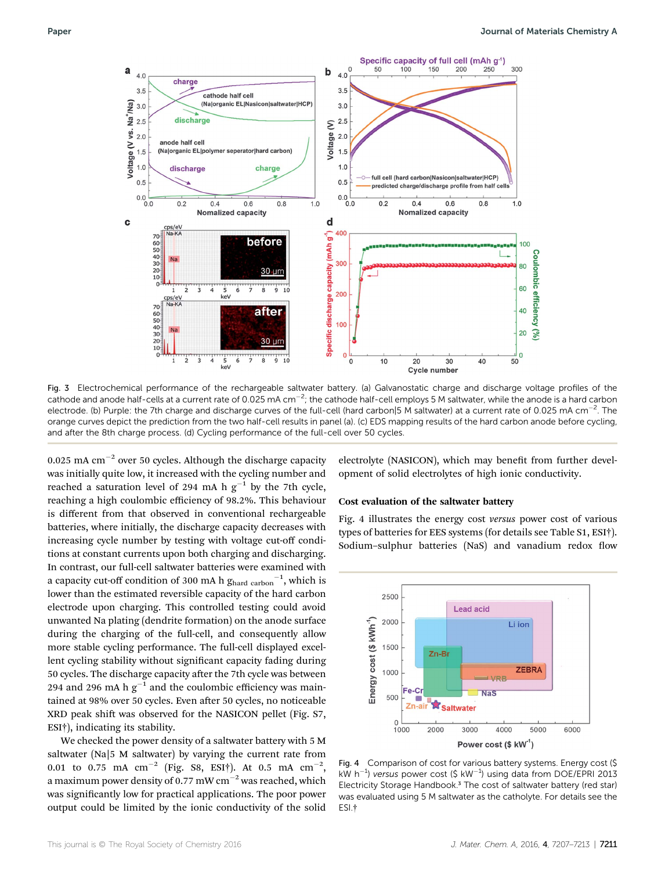

Fig. 3 Electrochemical performance of the rechargeable saltwater battery. (a) Galvanostatic charge and discharge voltage profiles of the cathode and anode half-cells at a current rate of 0.025 mA cm $^{-2}$ ; the cathode half-cell employs 5 M saltwater, while the anode is a hard carbon electrode. (b) Purple: the 7th charge and discharge curves of the full-cell (hard carbon|5 M saltwater) at a current rate of 0.025 mA cm $^{-2}$ . The orange curves depict the prediction from the two half-cell results in panel (a). (c) EDS mapping results of the hard carbon anode before cycling, and after the 8th charge process. (d) Cycling performance of the full-cell over 50 cycles.

0.025 mA  $cm^{-2}$  over 50 cycles. Although the discharge capacity was initially quite low, it increased with the cycling number and reached a saturation level of 294 mA h  $g^{-1}$  by the 7th cycle, reaching a high coulombic efficiency of 98.2%. This behaviour is different from that observed in conventional rechargeable batteries, where initially, the discharge capacity decreases with increasing cycle number by testing with voltage cut-off conditions at constant currents upon both charging and discharging. In contrast, our full-cell saltwater batteries were examined with a capacity cut-off condition of 300 mA h  $g_{\rm hard\ carbon}^{-1}$ , which is lower than the estimated reversible capacity of the hard carbon electrode upon charging. This controlled testing could avoid unwanted Na plating (dendrite formation) on the anode surface during the charging of the full-cell, and consequently allow more stable cycling performance. The full-cell displayed excellent cycling stability without significant capacity fading during 50 cycles. The discharge capacity after the 7th cycle was between 294 and 296 mA h  $g^{-1}$  and the coulombic efficiency was maintained at 98% over 50 cycles. Even after 50 cycles, no noticeable XRD peak shift was observed for the NASICON pellet (Fig. S7, ESI†), indicating its stability.

We checked the power density of a saltwater battery with 5 M saltwater (Na|5 M saltwater) by varying the current rate from 0.01 to 0.75 mA  $\text{cm}^{-2}$  (Fig. S8, ESI†). At 0.5 mA  $\text{cm}^{-2}$ , a maximum power density of 0.77 mW cm<sup> $-2$ </sup> was reached, which was significantly low for practical applications. The poor power output could be limited by the ionic conductivity of the solid electrolyte (NASICON), which may benefit from further development of solid electrolytes of high ionic conductivity.

#### Cost evaluation of the saltwater battery

Fig. 4 illustrates the energy cost versus power cost of various types of batteries for EES systems (for details see Table S1, ESI†). Sodium-sulphur batteries (NaS) and vanadium redox flow



Fig. 4 Comparison of cost for various battery systems. Energy cost (\$ kW h<sup>-1</sup>) versus power cost (\$ kW<sup>-1</sup>) using data from DOE/EPRI 2013 Electricity Storage Handbook.<sup>3</sup> The cost of saltwater battery (red star) was evaluated using 5 M saltwater as the catholyte. For details see the ESI.†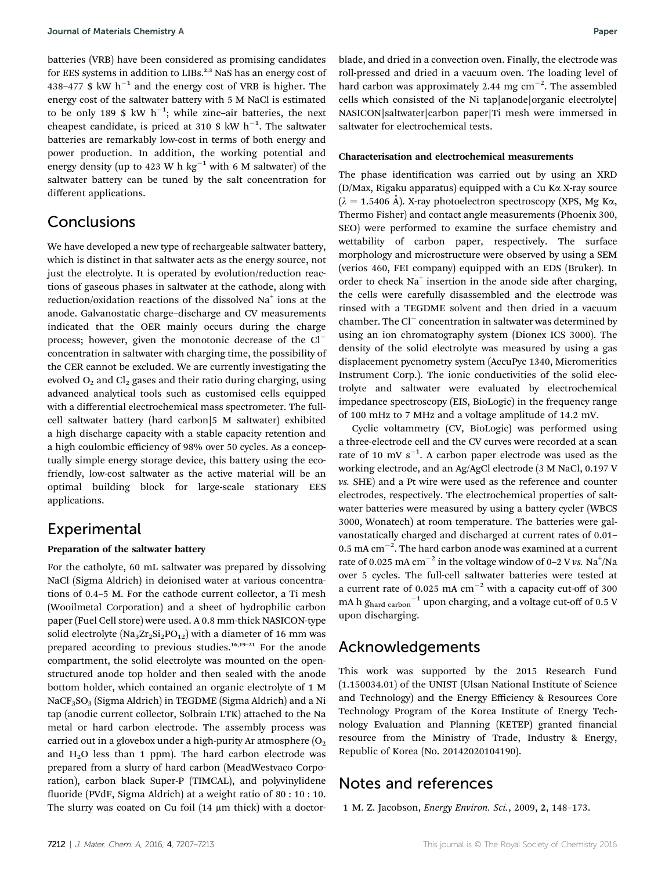batteries (VRB) have been considered as promising candidates for EES systems in addition to LIBs.<sup>2,3</sup> NaS has an energy cost of 438–477 \$ kW  $h^{-1}$  and the energy cost of VRB is higher. The energy cost of the saltwater battery with 5 M NaCl is estimated to be only 189 \$ kW  $h^{-1}$ ; while zinc-air batteries, the next cheapest candidate, is priced at 310 \$  $kW$   $h^{-1}$ . The saltwater batteries are remarkably low-cost in terms of both energy and power production. In addition, the working potential and energy density (up to 423 W h kg<sup>-1</sup> with 6 M saltwater) of the saltwater battery can be tuned by the salt concentration for different applications.

## Conclusions

We have developed a new type of rechargeable saltwater battery, which is distinct in that saltwater acts as the energy source, not just the electrolyte. It is operated by evolution/reduction reactions of gaseous phases in saltwater at the cathode, along with reduction/oxidation reactions of the dissolved Na<sup>+</sup> ions at the anode. Galvanostatic charge–discharge and CV measurements indicated that the OER mainly occurs during the charge process; however, given the monotonic decrease of the Cl concentration in saltwater with charging time, the possibility of the CER cannot be excluded. We are currently investigating the evolved  $O_2$  and  $Cl_2$  gases and their ratio during charging, using advanced analytical tools such as customised cells equipped with a differential electrochemical mass spectrometer. The fullcell saltwater battery (hard carbon|5 M saltwater) exhibited a high discharge capacity with a stable capacity retention and a high coulombic efficiency of 98% over 50 cycles. As a conceptually simple energy storage device, this battery using the ecofriendly, low-cost saltwater as the active material will be an optimal building block for large-scale stationary EES applications.

## Experimental

#### Preparation of the saltwater battery

For the catholyte, 60 mL saltwater was prepared by dissolving NaCl (Sigma Aldrich) in deionised water at various concentrations of 0.4–5 M. For the cathode current collector, a Ti mesh (Wooilmetal Corporation) and a sheet of hydrophilic carbon paper (Fuel Cell store) were used. A 0.8 mm-thick NASICON-type solid electrolyte ( $\text{Na}_3\text{Zr}_2\text{Si}_2\text{PO}_{12}$ ) with a diameter of 16 mm was prepared according to previous studies.<sup>16,19-21</sup> For the anode compartment, the solid electrolyte was mounted on the openstructured anode top holder and then sealed with the anode bottom holder, which contained an organic electrolyte of 1 M NaCF3SO3 (Sigma Aldrich) in TEGDME (Sigma Aldrich) and a Ni tap (anodic current collector, Solbrain LTK) attached to the Na metal or hard carbon electrode. The assembly process was carried out in a glovebox under a high-purity Ar atmosphere  $(O<sub>2</sub>)$ and  $H_2O$  less than 1 ppm). The hard carbon electrode was prepared from a slurry of hard carbon (MeadWestvaco Corporation), carbon black Super-P (TIMCAL), and polyvinylidene fluoride (PVdF, Sigma Aldrich) at a weight ratio of 80 : 10 : 10. The slurry was coated on Cu foil  $(14 \mu m)$  thick) with a doctorblade, and dried in a convection oven. Finally, the electrode was roll-pressed and dried in a vacuum oven. The loading level of hard carbon was approximately 2.44 mg  $cm^{-2}$ . The assembled cells which consisted of the Ni tap|anode|organic electrolyte| NASICON|saltwater|carbon paper|Ti mesh were immersed in saltwater for electrochemical tests.

#### Characterisation and electrochemical measurements

The phase identification was carried out by using an XRD (D/Max, Rigaku apparatus) equipped with a Cu Ka X-ray source  $(\lambda = 1.5406 \text{ Å})$ . X-ray photoelectron spectroscopy (XPS, Mg K $\alpha$ , Thermo Fisher) and contact angle measurements (Phoenix 300, SEO) were performed to examine the surface chemistry and wettability of carbon paper, respectively. The surface morphology and microstructure were observed by using a SEM (verios 460, FEI company) equipped with an EDS (Bruker). In order to check  $Na<sup>+</sup>$  insertion in the anode side after charging, the cells were carefully disassembled and the electrode was rinsed with a TEGDME solvent and then dried in a vacuum chamber. The  $Cl^-$  concentration in saltwater was determined by using an ion chromatography system (Dionex ICS 3000). The density of the solid electrolyte was measured by using a gas displacement pycnometry system (AccuPyc 1340, Micromeritics Instrument Corp.). The ionic conductivities of the solid electrolyte and saltwater were evaluated by electrochemical impedance spectroscopy (EIS, BioLogic) in the frequency range of 100 mHz to 7 MHz and a voltage amplitude of 14.2 mV.

Cyclic voltammetry (CV, BioLogic) was performed using a three-electrode cell and the CV curves were recorded at a scan rate of 10 mV  $s^{-1}$ . A carbon paper electrode was used as the working electrode, and an Ag/AgCl electrode (3 M NaCl, 0.197 V vs. SHE) and a Pt wire were used as the reference and counter electrodes, respectively. The electrochemical properties of saltwater batteries were measured by using a battery cycler (WBCS 3000, Wonatech) at room temperature. The batteries were galvanostatically charged and discharged at current rates of 0.01–  $0.5$  mA cm<sup>-2</sup>. The hard carbon anode was examined at a current rate of 0.025 mA  $cm^{-2}$  in the voltage window of 0-2 V vs. Na<sup>+</sup>/Na over 5 cycles. The full-cell saltwater batteries were tested at a current rate of 0.025 mA  $cm^{-2}$  with a capacity cut-off of 300 mA h  $g_{\text{hard carbon}}^{-1}$  upon charging, and a voltage cut-off of 0.5 V upon discharging.

## Acknowledgements

This work was supported by the 2015 Research Fund (1.150034.01) of the UNIST (Ulsan National Institute of Science and Technology) and the Energy Efficiency & Resources Core Technology Program of the Korea Institute of Energy Technology Evaluation and Planning (KETEP) granted financial resource from the Ministry of Trade, Industry & Energy, Republic of Korea (No. 20142020104190).

## Notes and references

1 M. Z. Jacobson, Energy Environ. Sci., 2009, 2, 148–173.